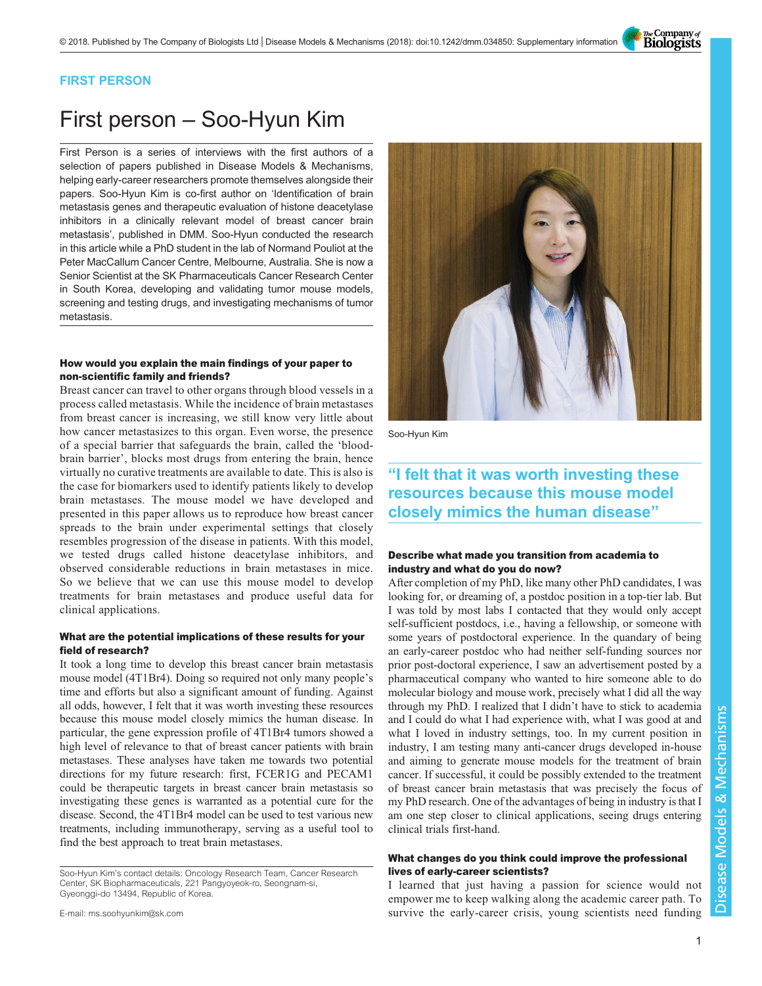The Company of<br>**Biologists** 

### FIRST PERSON

# First person – Soo-Hyun Kim

First Person is a series of interviews with the first authors of a selection of papers published in Disease Models & Mechanisms, helping early-career researchers promote themselves alongside their papers. Soo-Hyun Kim is co-first author on '[Identification of brain](#page-1-0) [metastasis genes and therapeutic evaluation of histone deacetylase](#page-1-0) [inhibitors in a clinically relevant model of breast cancer brain](#page-1-0) [metastasis](#page-1-0)', published in DMM. Soo-Hyun conducted the research in this article while a PhD student in the lab of Normand Pouliot at the Peter MacCallum Cancer Centre, Melbourne, Australia. She is now a Senior Scientist at the SK Pharmaceuticals Cancer Research Center in South Korea, developing and validating tumor mouse models, screening and testing drugs, and investigating mechanisms of tumor metastasis.

### How would you explain the main findings of your paper to non-scientific family and friends?

Breast cancer can travel to other organs through blood vessels in a process called metastasis. While the incidence of brain metastases from breast cancer is increasing, we still know very little about how cancer metastasizes to this organ. Even worse, the presence of a special barrier that safeguards the brain, called the 'bloodbrain barrier', blocks most drugs from entering the brain, hence virtually no curative treatments are available to date. This is also is the case for biomarkers used to identify patients likely to develop brain metastases. The mouse model we have developed and presented in this paper allows us to reproduce how breast cancer spreads to the brain under experimental settings that closely resembles progression of the disease in patients. With this model, we tested drugs called histone deacetylase inhibitors, and observed considerable reductions in brain metastases in mice. So we believe that we can use this mouse model to develop treatments for brain metastases and produce useful data for clinical applications.

### What are the potential implications of these results for your field of research?

It took a long time to develop this breast cancer brain metastasis mouse model (4T1Br4). Doing so required not only many people's time and efforts but also a significant amount of funding. Against all odds, however, I felt that it was worth investing these resources because this mouse model closely mimics the human disease. In particular, the gene expression profile of 4T1Br4 tumors showed a high level of relevance to that of breast cancer patients with brain metastases. These analyses have taken me towards two potential directions for my future research: first, FCER1G and PECAM1 could be therapeutic targets in breast cancer brain metastasis so investigating these genes is warranted as a potential cure for the disease. Second, the 4T1Br4 model can be used to test various new treatments, including immunotherapy, serving as a useful tool to find the best approach to treat brain metastases.

Soo-Hyun Kim's contact details: Oncology Research Team, Cancer Research Center, SK Biopharmaceuticals, 221 Pangyoyeok-ro, Seongnam-si, Gyeonggi-do 13494, Republic of Korea.

E-mail: [ms.soohyunkim@sk.com](mailto:ms.soohyunkim@sk.com)



Soo-Hyun Kim

## "I felt that it was worth investing these resources because this mouse model closely mimics the human disease"

### Describe what made you transition from academia to industry and what do you do now?

After completion of my PhD, like many other PhD candidates, I was looking for, or dreaming of, a postdoc position in a top-tier lab. But I was told by most labs I contacted that they would only accept self-sufficient postdocs, i.e., having a fellowship, or someone with some years of postdoctoral experience. In the quandary of being an early-career postdoc who had neither self-funding sources nor prior post-doctoral experience, I saw an advertisement posted by a pharmaceutical company who wanted to hire someone able to do molecular biology and mouse work, precisely what I did all the way through my PhD. I realized that I didn't have to stick to academia and I could do what I had experience with, what I was good at and what I loved in industry settings, too. In my current position in industry, I am testing many anti-cancer drugs developed in-house and aiming to generate mouse models for the treatment of brain cancer. If successful, it could be possibly extended to the treatment of breast cancer brain metastasis that was precisely the focus of my PhD research. One of the advantages of being in industry is that I am one step closer to clinical applications, seeing drugs entering clinical trials first-hand.

### What changes do you think could improve the professional lives of early-career scientists?

I learned that just having a passion for science would not empower me to keep walking along the academic career path. To survive the early-career crisis, young scientists need funding